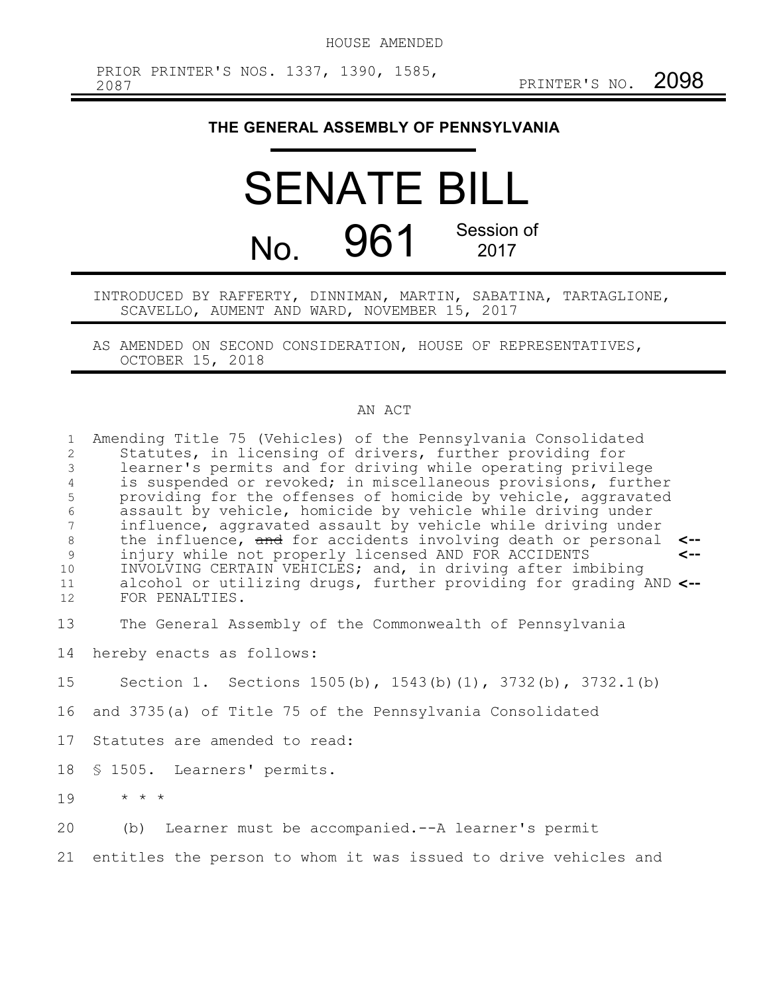## **THE GENERAL ASSEMBLY OF PENNSYLVANIA**

## SENATE BILL No. 961 Session of 2017

INTRODUCED BY RAFFERTY, DINNIMAN, MARTIN, SABATINA, TARTAGLIONE, SCAVELLO, AUMENT AND WARD, NOVEMBER 15, 2017

AS AMENDED ON SECOND CONSIDERATION, HOUSE OF REPRESENTATIVES, OCTOBER 15, 2018

## AN ACT

| $\mathbf{1}$<br>$\mathbf{2}$<br>3<br>4<br>5<br>$\epsilon$<br>$7\phantom{.0}$<br>$\,8\,$<br>$\mathcal{G}$<br>10<br>11<br>12 | Amending Title 75 (Vehicles) of the Pennsylvania Consolidated<br>Statutes, in licensing of drivers, further providing for<br>learner's permits and for driving while operating privilege<br>is suspended or revoked; in miscellaneous provisions, further<br>providing for the offenses of homicide by vehicle, aggravated<br>assault by vehicle, homicide by vehicle while driving under<br>influence, aggravated assault by vehicle while driving under<br>the influence, and for accidents involving death or personal<br><--<br>injury while not properly licensed AND FOR ACCIDENTS<br>$\leftarrow$<br>INVOLVING CERTAIN VEHICLES; and, in driving after imbibing<br>alcohol or utilizing drugs, further providing for grading AND <--<br>FOR PENALTIES. |
|----------------------------------------------------------------------------------------------------------------------------|---------------------------------------------------------------------------------------------------------------------------------------------------------------------------------------------------------------------------------------------------------------------------------------------------------------------------------------------------------------------------------------------------------------------------------------------------------------------------------------------------------------------------------------------------------------------------------------------------------------------------------------------------------------------------------------------------------------------------------------------------------------|
| 13                                                                                                                         | The General Assembly of the Commonwealth of Pennsylvania                                                                                                                                                                                                                                                                                                                                                                                                                                                                                                                                                                                                                                                                                                      |
| 14                                                                                                                         | hereby enacts as follows:                                                                                                                                                                                                                                                                                                                                                                                                                                                                                                                                                                                                                                                                                                                                     |
| 15                                                                                                                         | Section 1. Sections 1505(b), 1543(b)(1), 3732(b), 3732.1(b)                                                                                                                                                                                                                                                                                                                                                                                                                                                                                                                                                                                                                                                                                                   |
| 16                                                                                                                         | and 3735(a) of Title 75 of the Pennsylvania Consolidated                                                                                                                                                                                                                                                                                                                                                                                                                                                                                                                                                                                                                                                                                                      |
| 17                                                                                                                         | Statutes are amended to read:                                                                                                                                                                                                                                                                                                                                                                                                                                                                                                                                                                                                                                                                                                                                 |
| 18                                                                                                                         | § 1505. Learners' permits.                                                                                                                                                                                                                                                                                                                                                                                                                                                                                                                                                                                                                                                                                                                                    |
| 19                                                                                                                         | $\star$ $\star$ $\star$                                                                                                                                                                                                                                                                                                                                                                                                                                                                                                                                                                                                                                                                                                                                       |
| 20                                                                                                                         | (b) Learner must be accompanied.--A learner's permit                                                                                                                                                                                                                                                                                                                                                                                                                                                                                                                                                                                                                                                                                                          |
| 21                                                                                                                         | entitles the person to whom it was issued to drive vehicles and                                                                                                                                                                                                                                                                                                                                                                                                                                                                                                                                                                                                                                                                                               |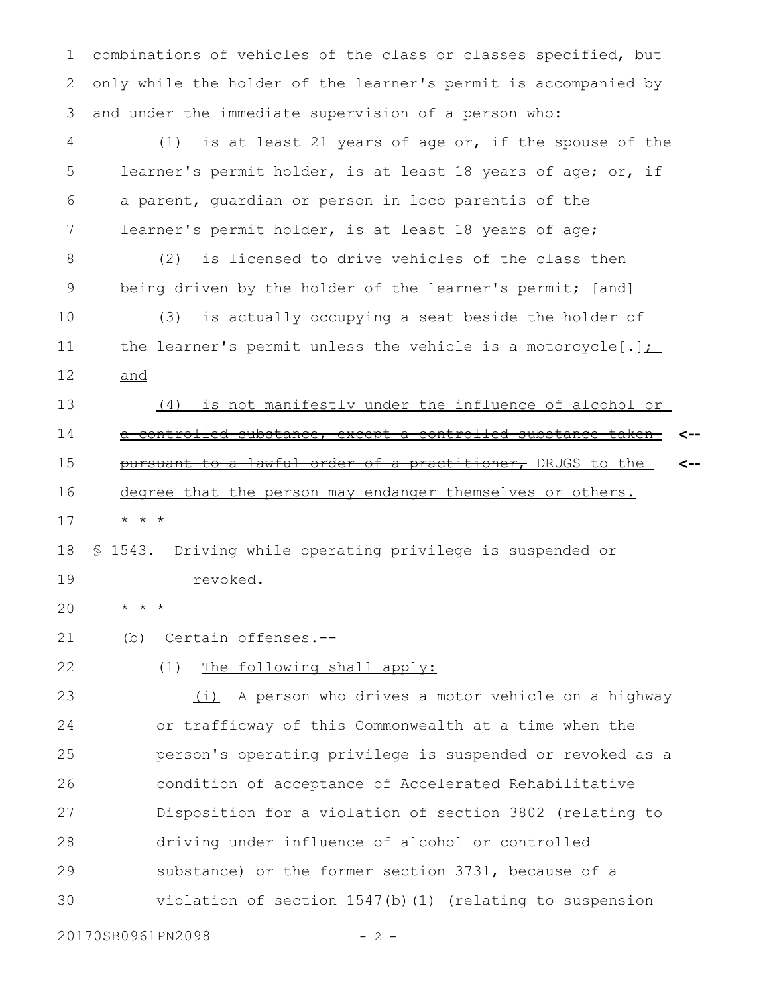combinations of vehicles of the class or classes specified, but only while the holder of the learner's permit is accompanied by and under the immediate supervision of a person who: 1 2 3

(1) is at least 21 years of age or, if the spouse of the learner's permit holder, is at least 18 years of age; or, if a parent, guardian or person in loco parentis of the learner's permit holder, is at least 18 years of age; 4 5 6 7

(2) is licensed to drive vehicles of the class then being driven by the holder of the learner's permit; [and] 8 9

(3) is actually occupying a seat beside the holder of the learner's permit unless the vehicle is a motorcycle $[.]$ ; and 10 11 12

(4) is not manifestly under the influence of alcohol or a controlled substance, except a controlled substance taken pursuant to a lawful order of a practitioner, DRUGS to the degree that the person may endanger themselves or others. **<-- <--** 13 14 15 16

\* \* \* 17

§ 1543. Driving while operating privilege is suspended or revoked. 18 19

\* \* \* 20

(b) Certain offenses.-- 21

(1) The following shall apply: 22

(i) A person who drives a motor vehicle on a highway or trafficway of this Commonwealth at a time when the person's operating privilege is suspended or revoked as a condition of acceptance of Accelerated Rehabilitative Disposition for a violation of section 3802 (relating to driving under influence of alcohol or controlled substance) or the former section 3731, because of a violation of section 1547(b)(1) (relating to suspension 23 24 25 26 27 28 29 30

20170SB0961PN2098 - 2 -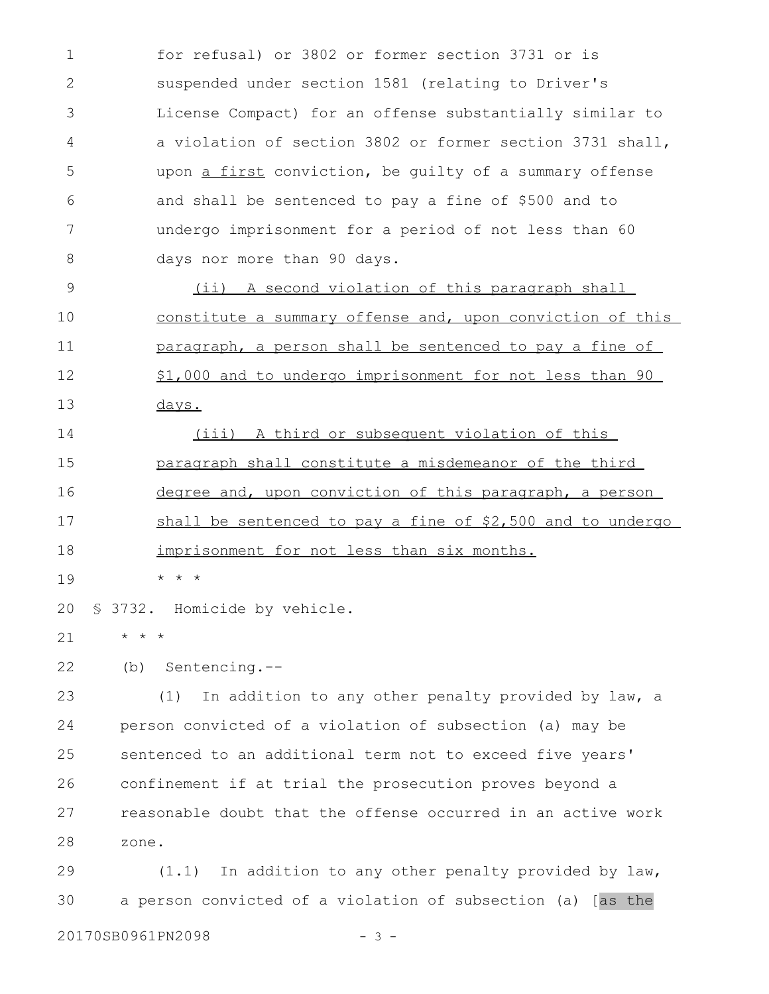for refusal) or 3802 or former section 3731 or is suspended under section 1581 (relating to Driver's License Compact) for an offense substantially similar to a violation of section 3802 or former section 3731 shall, upon a first conviction, be guilty of a summary offense and shall be sentenced to pay a fine of \$500 and to undergo imprisonment for a period of not less than 60 days nor more than 90 days. 1 2 3 4 5 6 7 8

(ii) A second violation of this paragraph shall constitute a summary offense and, upon conviction of this paragraph, a person shall be sentenced to pay a fine of \$1,000 and to undergo imprisonment for not less than 90 days. 9 10 11 12 13

(iii) A third or subsequent violation of this paragraph shall constitute a misdemeanor of the third degree and, upon conviction of this paragraph, a person shall be sentenced to pay a fine of \$2,500 and to undergo imprisonment for not less than six months. 14 15 16 17 18

\* \* \* 19

§ 3732. Homicide by vehicle. 20

\* \* \* 21

(b) Sentencing.-- 22

(1) In addition to any other penalty provided by law, a person convicted of a violation of subsection (a) may be sentenced to an additional term not to exceed five years' confinement if at trial the prosecution proves beyond a reasonable doubt that the offense occurred in an active work zone. 23 24 25 26 27 28

(1.1) In addition to any other penalty provided by law, a person convicted of a violation of subsection (a) [as the 29 30

20170SB0961PN2098 - 3 -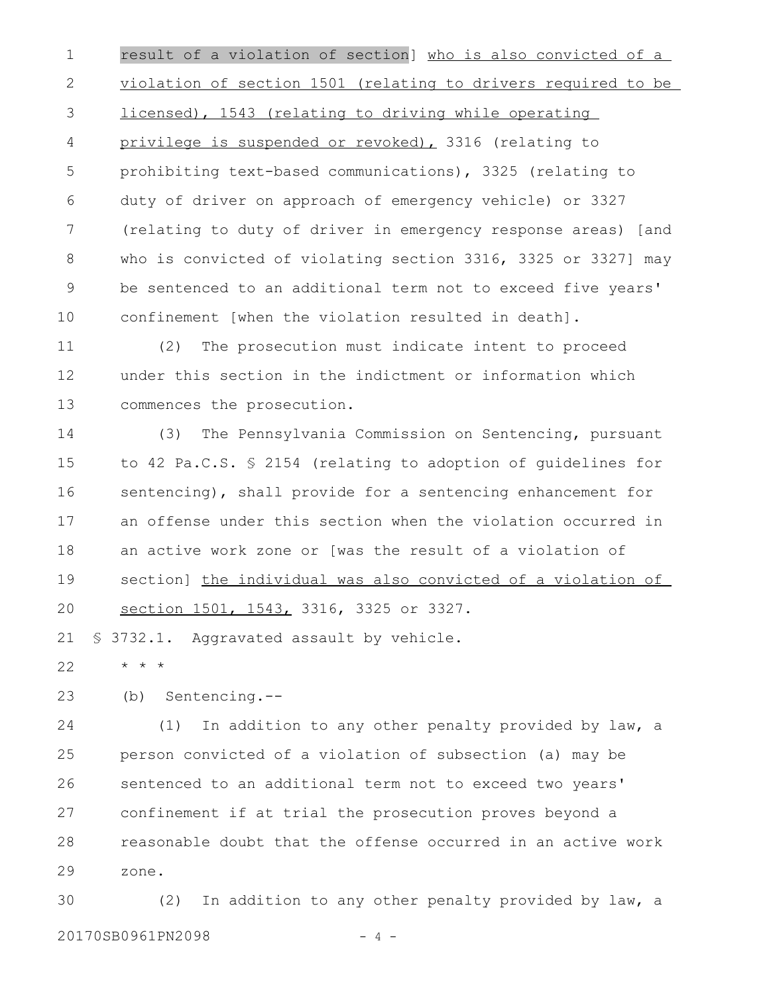result of a violation of section] who is also convicted of a violation of section 1501 (relating to drivers required to be licensed), 1543 (relating to driving while operating privilege is suspended or revoked), 3316 (relating to prohibiting text-based communications), 3325 (relating to duty of driver on approach of emergency vehicle) or 3327 (relating to duty of driver in emergency response areas) [and who is convicted of violating section 3316, 3325 or 3327] may be sentenced to an additional term not to exceed five years' confinement [when the violation resulted in death]. 1 2 3 4 5 6 7 8 9 10

(2) The prosecution must indicate intent to proceed under this section in the indictment or information which commences the prosecution. 11 12 13

(3) The Pennsylvania Commission on Sentencing, pursuant to 42 Pa.C.S. § 2154 (relating to adoption of guidelines for sentencing), shall provide for a sentencing enhancement for an offense under this section when the violation occurred in an active work zone or [was the result of a violation of section] the individual was also convicted of a violation of section 1501, 1543, 3316, 3325 or 3327. 14 15 16 17 18 19 20

§ 3732.1. Aggravated assault by vehicle. 21

\* \* \* 22

(b) Sentencing.-- 23

(1) In addition to any other penalty provided by law, a person convicted of a violation of subsection (a) may be sentenced to an additional term not to exceed two years' confinement if at trial the prosecution proves beyond a reasonable doubt that the offense occurred in an active work zone. 24 25 26 27 28 29

(2) In addition to any other penalty provided by law, a 20170SB0961PN2098 - 4 - 30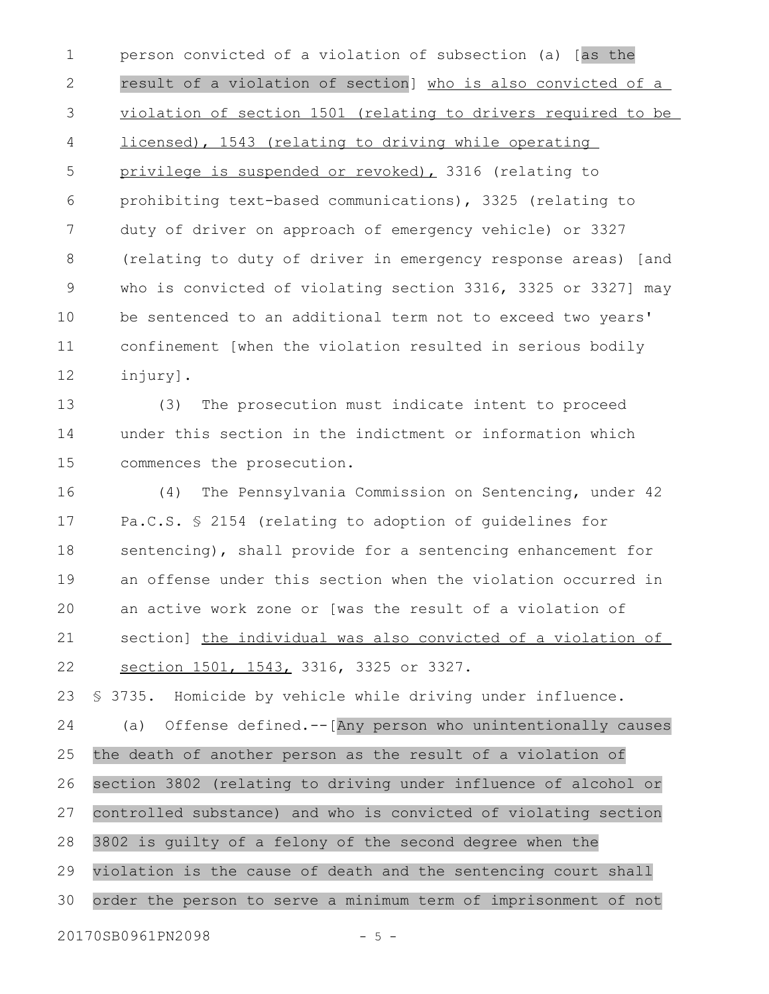person convicted of a violation of subsection (a) [as the result of a violation of section] who is also convicted of a violation of section 1501 (relating to drivers required to be licensed), 1543 (relating to driving while operating privilege is suspended or revoked), 3316 (relating to prohibiting text-based communications), 3325 (relating to duty of driver on approach of emergency vehicle) or 3327 (relating to duty of driver in emergency response areas) [and who is convicted of violating section 3316, 3325 or 3327] may be sentenced to an additional term not to exceed two years' confinement [when the violation resulted in serious bodily injury]. 1 2 3 4 5 6 7 8 9 10 11 12

(3) The prosecution must indicate intent to proceed under this section in the indictment or information which commences the prosecution. 13 14 15

(4) The Pennsylvania Commission on Sentencing, under 42 Pa.C.S. § 2154 (relating to adoption of guidelines for sentencing), shall provide for a sentencing enhancement for an offense under this section when the violation occurred in an active work zone or [was the result of a violation of section] the individual was also convicted of a violation of section 1501, 1543, 3316, 3325 or 3327. 16 17 18 19 20 21 22

§ 3735. Homicide by vehicle while driving under influence. (a) Offense defined.--[Any person who unintentionally causes 23 24

the death of another person as the result of a violation of section 3802 (relating to driving under influence of alcohol or controlled substance) and who is convicted of violating section 25 26 27

3802 is guilty of a felony of the second degree when the violation is the cause of death and the sentencing court shall order the person to serve a minimum term of imprisonment of not 28 29 30

20170SB0961PN2098 - 5 -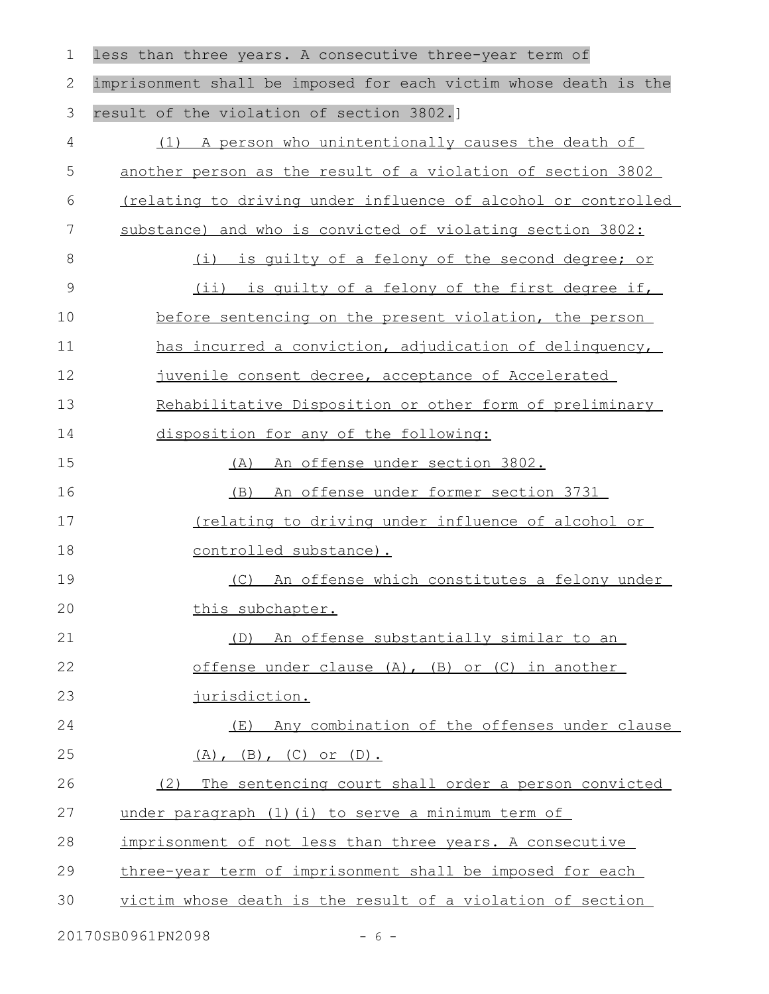| $\mathbf 1$   | less than three years. A consecutive three-year term of          |
|---------------|------------------------------------------------------------------|
| $\mathbf{2}$  | imprisonment shall be imposed for each victim whose death is the |
| $\mathcal{S}$ | result of the violation of section 3802.]                        |
| 4             | (1) A person who unintentionally causes the death of             |
| 5             | another person as the result of a violation of section 3802      |
| 6             | (relating to driving under influence of alcohol or controlled    |
| 7             | substance) and who is convicted of violating section 3802:       |
| 8             | (i)<br>is guilty of a felony of the second degree; or            |
| 9             | (ii) is quilty of a felony of the first degree if,               |
| 10            | before sentencing on the present violation, the person           |
| 11            | has incurred a conviction, adjudication of delinquency,          |
| 12            | juvenile consent decree, acceptance of Accelerated               |
| 13            | Rehabilitative Disposition or other form of preliminary          |
| 14            | disposition for any of the following:                            |
| 15            | (A) An offense under section 3802.                               |
| 16            | An offense under former section 3731<br>(B)                      |
| 17            | Inclating to driving under influence of alcohol or               |
| 18            | controlled substance).                                           |
| 19            | (C) An offense which constitutes a felony under                  |
| 20            | this subchapter.                                                 |
| 21            | (D) An offense substantially similar to an                       |
| 22            | offense under clause (A), (B) or (C) in another                  |
| 23            | jurisdiction.                                                    |
| 24            | (E) Any combination of the offenses under clause                 |
| 25            | $(A)$ , $(B)$ , $(C)$ or $(D)$ .                                 |
| 26            | The sentencing court shall order a person convicted<br>(2)       |
| 27            | under paragraph (1) (i) to serve a minimum term of               |
| 28            | imprisonment of not less than three years. A consecutive         |
| 29            | three-year term of imprisonment shall be imposed for each        |
| 30            | victim whose death is the result of a violation of section       |
|               |                                                                  |

20170SB0961PN2098 - 6 -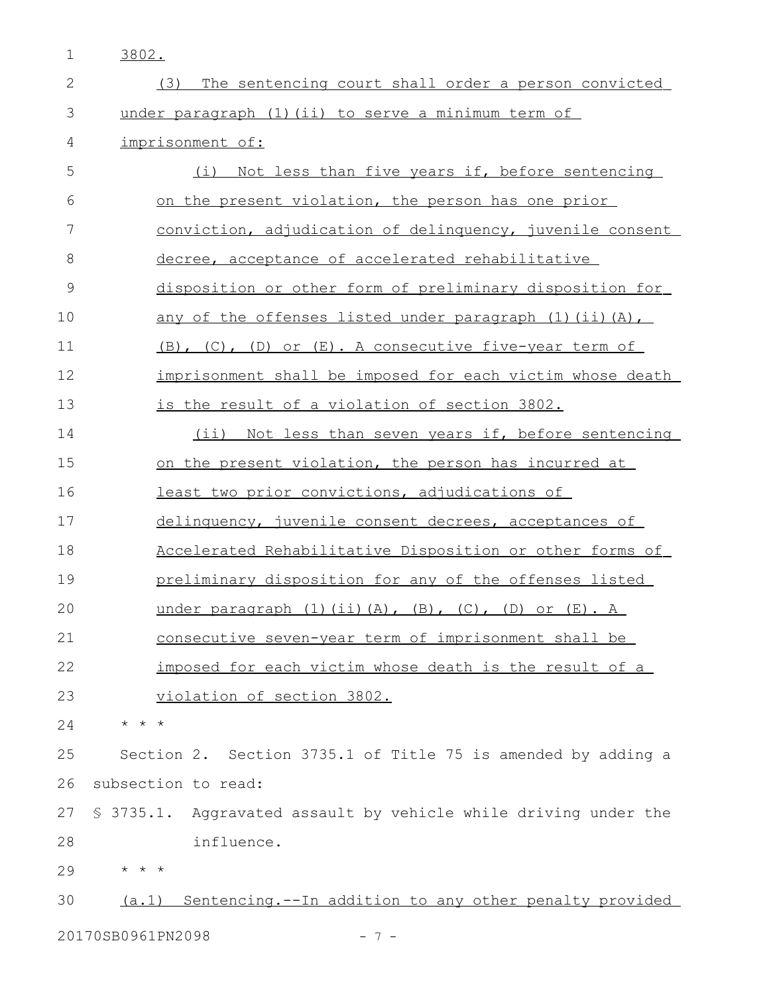3802. 1

| $\mathbf{2}$  | The sentencing court shall order a person convicted<br>(3)              |
|---------------|-------------------------------------------------------------------------|
| 3             | under paragraph (1) (ii) to serve a minimum term of                     |
| 4             | imprisonment of:                                                        |
| 5             | (i) Not less than five years if, before sentencing                      |
| 6             | on the present violation, the person has one prior                      |
| 7             | conviction, adjudication of delinquency, juvenile consent               |
| 8             | decree, acceptance of accelerated rehabilitative                        |
| $\mathcal{G}$ | disposition or other form of preliminary disposition for                |
| 10            | <u>any of the offenses listed under paragraph (1)(ii)(A),</u>           |
| 11            | (B), (C), (D) or (E). A consecutive five-year term of                   |
| 12            | imprisonment shall be imposed for each victim whose death               |
| 13            | is the result of a violation of section 3802.                           |
| 14            | (ii) Not less than seven years if, before sentencing                    |
| 15            | on the present violation, the person has incurred at                    |
| 16            | least two prior convictions, adjudications of                           |
| 17            | delinquency, juvenile consent decrees, acceptances of                   |
| 18            | Accelerated Rehabilitative Disposition or other forms of                |
| 19            | preliminary disposition for any of the offenses listed                  |
| 20            | under paragraph $(1)$ $(ii)$ $(A)$ , $(B)$ , $(C)$ , $(D)$ or $(E)$ . A |
| 21            | consecutive seven-year term of imprisonment shall be                    |
| 22            | imposed for each victim whose death is the result of a                  |
| 23            | <u>violation of section 3802.</u>                                       |
| 24            | $\star$ $\star$ $\star$                                                 |
| 25            | Section 2. Section 3735.1 of Title 75 is amended by adding a            |
| 26            | subsection to read:                                                     |
| 27            | \$ 3735.1. Aggravated assault by vehicle while driving under the        |
| 28            | influence.                                                              |
| 29            | $\star$ $\star$ $\star$                                                 |
| 30            | Sentencing.--In addition to any other penalty provided<br>(a.1)         |
|               | 20170SB0961PN2098<br>$-7-$                                              |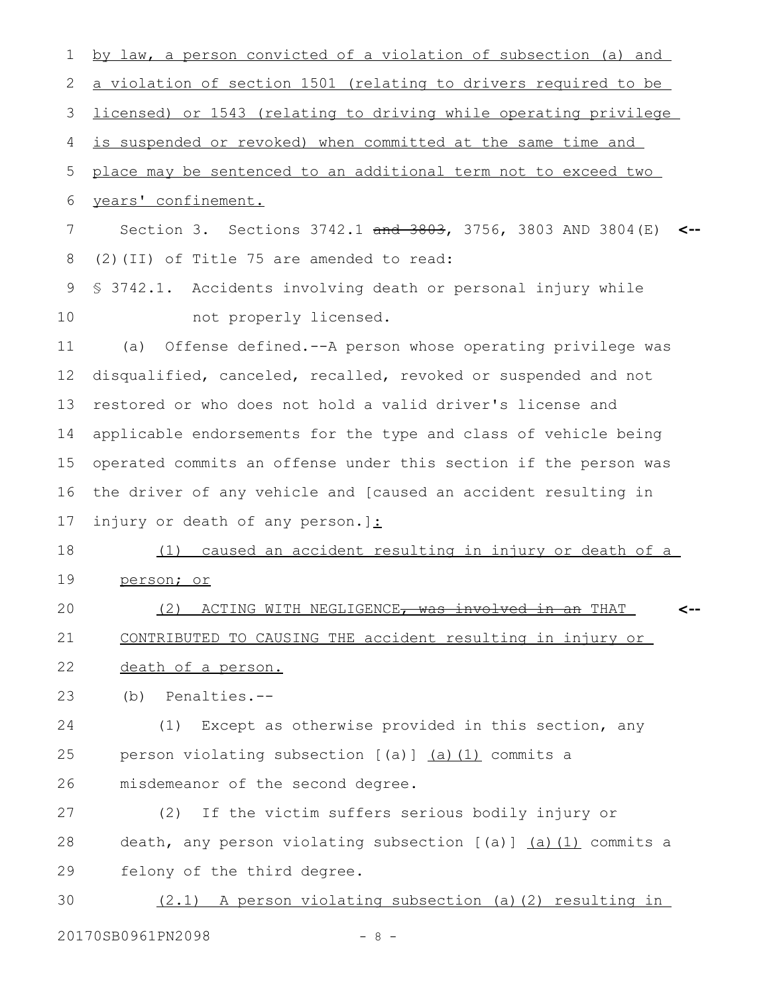| 1  | by law, a person convicted of a violation of subsection (a) and        |
|----|------------------------------------------------------------------------|
| 2  | <u>a violation of section 1501 (relating to drivers required to be</u> |
| 3  | licensed) or 1543 (relating to driving while operating privilege       |
| 4  | is suspended or revoked) when committed at the same time and           |
| 5  | place may be sentenced to an additional term not to exceed two         |
| 6  | years' confinement.                                                    |
| 7  | Section 3. Sections 3742.1 and 3803, 3756, 3803 AND 3804 (E)           |
| 8  | (2) (II) of Title 75 are amended to read:                              |
| 9  | \$ 3742.1. Accidents involving death or personal injury while          |
| 10 | not properly licensed.                                                 |
| 11 | Offense defined.--A person whose operating privilege was<br>(a)        |
| 12 | disqualified, canceled, recalled, revoked or suspended and not         |
| 13 | restored or who does not hold a valid driver's license and             |
| 14 | applicable endorsements for the type and class of vehicle being        |
| 15 | operated commits an offense under this section if the person was       |
| 16 | the driver of any vehicle and [caused an accident resulting in         |
| 17 | injury or death of any person.]:                                       |
| 18 | caused an accident resulting in injury or death of a<br>(1)            |
| 19 | person; or                                                             |
| 20 | (2) ACTING WITH NEGLIGENCE, was involved in an THAT                    |
| 21 | CONTRIBUTED TO CAUSING THE accident resulting in injury or             |
| 22 | death of a person.                                                     |
| 23 | Penalties.--<br>(b)                                                    |
| 24 | Except as otherwise provided in this section, any<br>(1)               |
| 25 | person violating subsection [(a)] (a) (1) commits a                    |
| 26 | misdemeanor of the second degree.                                      |
| 27 | If the victim suffers serious bodily injury or<br>(2)                  |
| 28 | death, any person violating subsection [(a)] (a) (1) commits a         |
| 29 | felony of the third degree.                                            |
| 30 | A person violating subsection (a) (2) resulting in<br>(2.1)            |

20170SB0961PN2098 - 8 -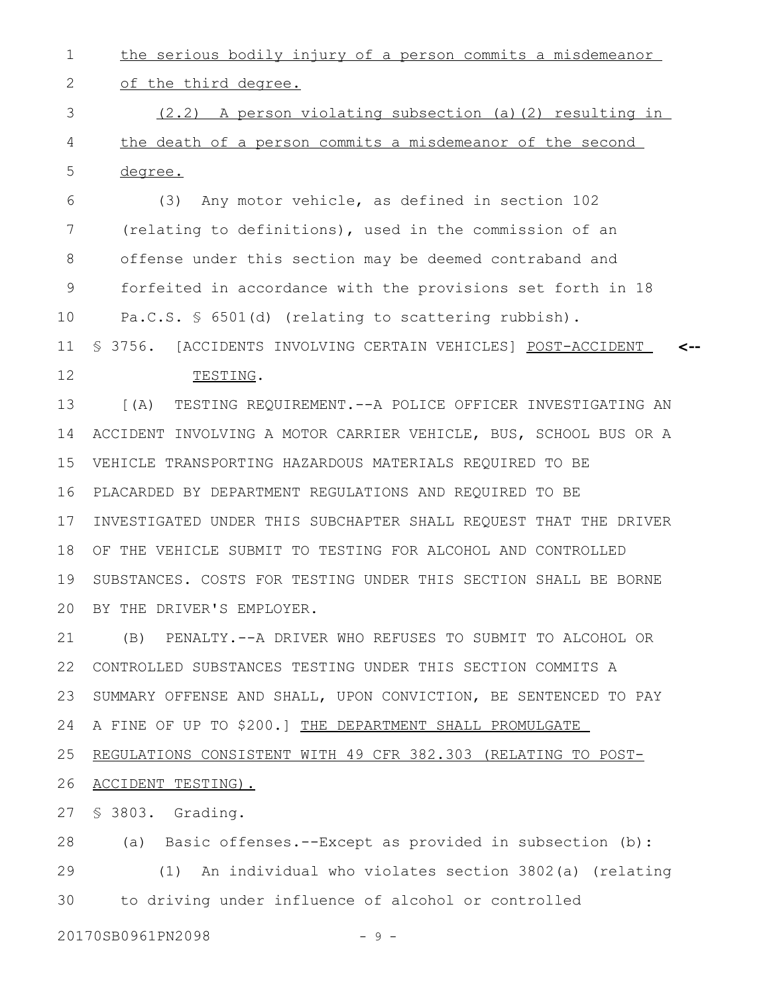the serious bodily injury of a person commits a misdemeanor 1

of the third degree. 2

 $(2.2)$  A person violating subsection (a)(2) resulting in the death of a person commits a misdemeanor of the second degree. 3 4 5

(3) Any motor vehicle, as defined in section 102 (relating to definitions), used in the commission of an offense under this section may be deemed contraband and forfeited in accordance with the provisions set forth in 18 Pa.C.S. § 6501(d) (relating to scattering rubbish). § 3756. [ACCIDENTS INVOLVING CERTAIN VEHICLES] POST-ACCIDENT **<--** 6 7 8 9 10 11

12

TESTING.

[(A) TESTING REQUIREMENT.--A POLICE OFFICER INVESTIGATING AN ACCIDENT INVOLVING A MOTOR CARRIER VEHICLE, BUS, SCHOOL BUS OR A VEHICLE TRANSPORTING HAZARDOUS MATERIALS REQUIRED TO BE PLACARDED BY DEPARTMENT REGULATIONS AND REQUIRED TO BE INVESTIGATED UNDER THIS SUBCHAPTER SHALL REQUEST THAT THE DRIVER OF THE VEHICLE SUBMIT TO TESTING FOR ALCOHOL AND CONTROLLED SUBSTANCES. COSTS FOR TESTING UNDER THIS SECTION SHALL BE BORNE BY THE DRIVER'S EMPLOYER. 13 14 15 16 17 18 19 20

(B) PENALTY.--A DRIVER WHO REFUSES TO SUBMIT TO ALCOHOL OR CONTROLLED SUBSTANCES TESTING UNDER THIS SECTION COMMITS A SUMMARY OFFENSE AND SHALL, UPON CONVICTION, BE SENTENCED TO PAY A FINE OF UP TO \$200.] THE DEPARTMENT SHALL PROMULGATE REGULATIONS CONSISTENT WITH 49 CFR 382.303 (RELATING TO POST-21 22 23 24 25

ACCIDENT TESTING). 26

§ 3803. Grading. 27

(a) Basic offenses.--Except as provided in subsection (b): (1) An individual who violates section 3802(a) (relating to driving under influence of alcohol or controlled 28 29 30

20170SB0961PN2098 - 9 -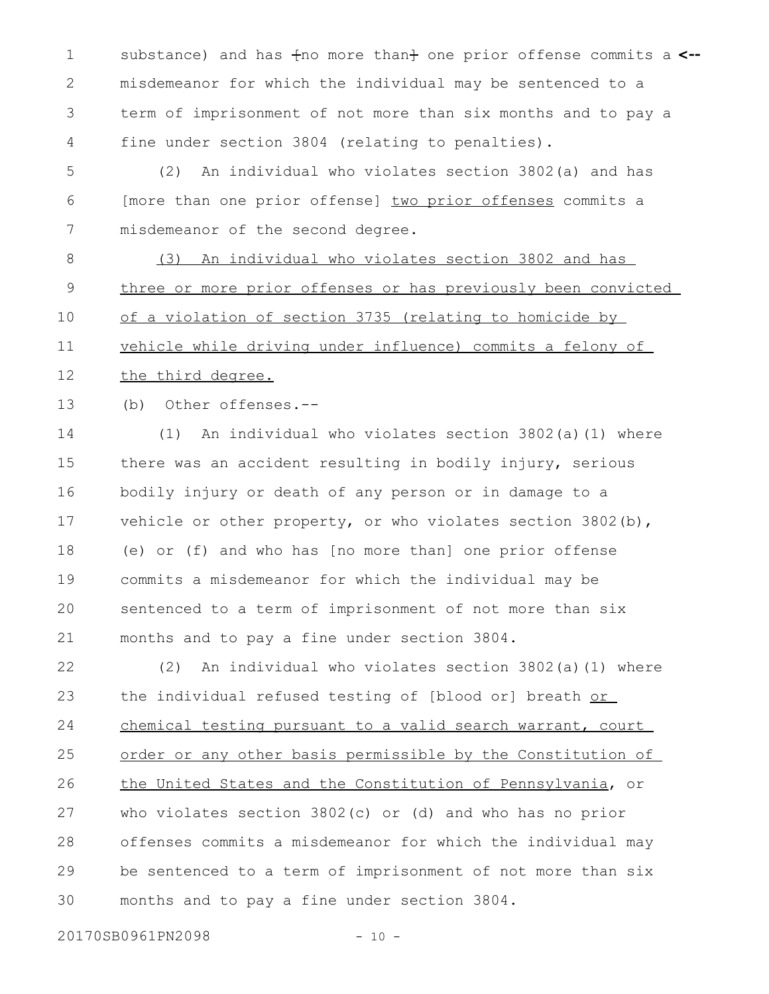1 substance) and has  $f$ no more than $f$  one prior offense commits a <-misdemeanor for which the individual may be sentenced to a term of imprisonment of not more than six months and to pay a fine under section 3804 (relating to penalties). 2 3 4

(2) An individual who violates section 3802(a) and has [more than one prior offense] two prior offenses commits a misdemeanor of the second degree. 5 6 7

(3) An individual who violates section 3802 and has three or more prior offenses or has previously been convicted of a violation of section 3735 (relating to homicide by vehicle while driving under influence) commits a felony of the third degree. 8 9 10 11 12

(b) Other offenses.-- 13

(1) An individual who violates section 3802(a)(1) where there was an accident resulting in bodily injury, serious bodily injury or death of any person or in damage to a vehicle or other property, or who violates section 3802(b), (e) or (f) and who has [no more than] one prior offense commits a misdemeanor for which the individual may be sentenced to a term of imprisonment of not more than six months and to pay a fine under section 3804. 14 15 16 17 18 19 20 21

(2) An individual who violates section 3802(a)(1) where the individual refused testing of [blood or] breath or chemical testing pursuant to a valid search warrant, court order or any other basis permissible by the Constitution of the United States and the Constitution of Pennsylvania, or who violates section 3802(c) or (d) and who has no prior offenses commits a misdemeanor for which the individual may be sentenced to a term of imprisonment of not more than six months and to pay a fine under section 3804. 22 23 24 25 26 27 28 29 30

20170SB0961PN2098 - 10 -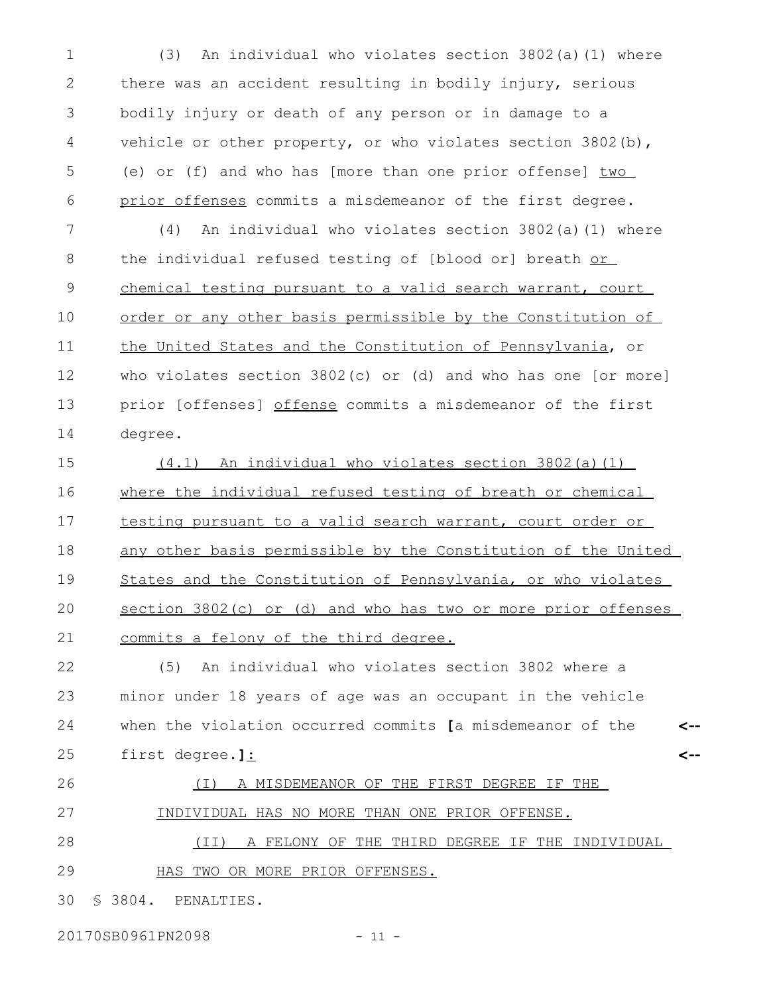(3) An individual who violates section 3802(a)(1) where there was an accident resulting in bodily injury, serious bodily injury or death of any person or in damage to a vehicle or other property, or who violates section 3802(b), (e) or (f) and who has [more than one prior offense] two prior offenses commits a misdemeanor of the first degree. 1 2 3 4 5 6

(4) An individual who violates section 3802(a)(1) where the individual refused testing of [blood or] breath or chemical testing pursuant to a valid search warrant, court order or any other basis permissible by the Constitution of the United States and the Constitution of Pennsylvania, or who violates section 3802(c) or (d) and who has one [or more] prior [offenses] offense commits a misdemeanor of the first degree. 7 8 9 10 11 12 13 14

(4.1) An individual who violates section 3802(a)(1) where the individual refused testing of breath or chemical testing pursuant to a valid search warrant, court order or any other basis permissible by the Constitution of the United States and the Constitution of Pennsylvania, or who violates section 3802(c) or (d) and who has two or more prior offenses commits a felony of the third degree. 15 16 17 18 19 20 21

(5) An individual who violates section 3802 where a minor under 18 years of age was an occupant in the vehicle when the violation occurred commits **[**a misdemeanor of the first degree.**]**: **<-- <--** 22 23 24 25

(I) A MISDEMEANOR OF THE FIRST DEGREE IF THE INDIVIDUAL HAS NO MORE THAN ONE PRIOR OFFENSE. (II) A FELONY OF THE THIRD DEGREE IF THE INDIVIDUAL HAS TWO OR MORE PRIOR OFFENSES. 26 27 28 29

§ 3804. PENALTIES. 30

20170SB0961PN2098 - 11 -